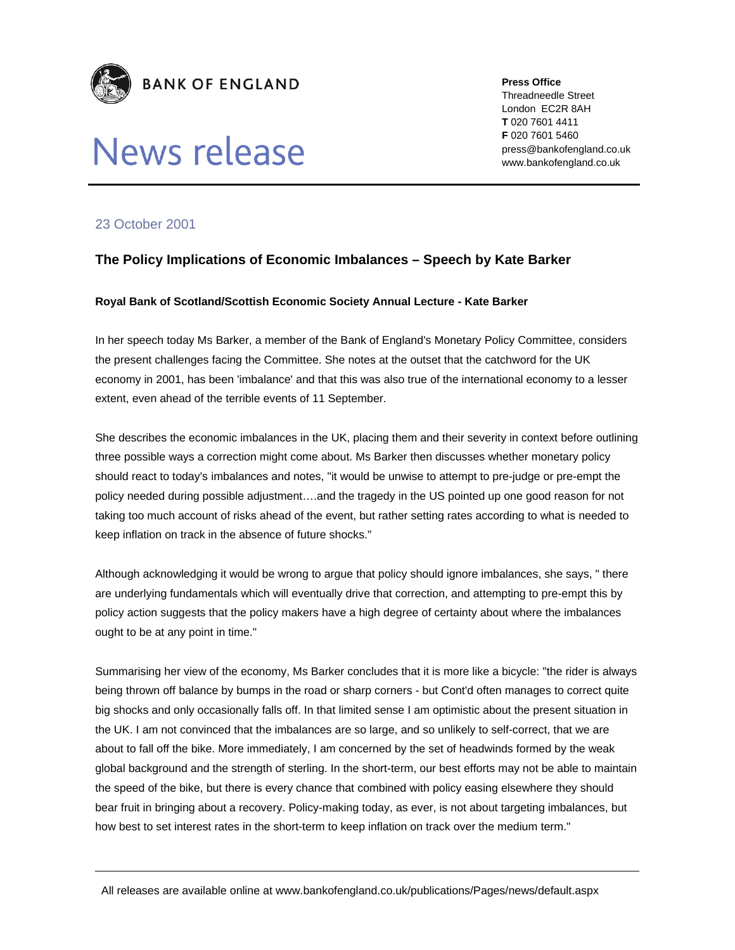

# News release

**Press Office**  Threadneedle Street London EC2R 8AH **T** 020 7601 4411 **F** 020 7601 5460 press@bankofengland.co.uk www.bankofengland.co.uk

## 23 October 2001

## **The Policy Implications of Economic Imbalances – Speech by Kate Barker**

#### **Royal Bank of Scotland/Scottish Economic Society Annual Lecture - Kate Barker**

In her speech today Ms Barker, a member of the Bank of England's Monetary Policy Committee, considers the present challenges facing the Committee. She notes at the outset that the catchword for the UK economy in 2001, has been 'imbalance' and that this was also true of the international economy to a lesser extent, even ahead of the terrible events of 11 September.

She describes the economic imbalances in the UK, placing them and their severity in context before outlining three possible ways a correction might come about. Ms Barker then discusses whether monetary policy should react to today's imbalances and notes, "it would be unwise to attempt to pre-judge or pre-empt the policy needed during possible adjustment….and the tragedy in the US pointed up one good reason for not taking too much account of risks ahead of the event, but rather setting rates according to what is needed to keep inflation on track in the absence of future shocks."

Although acknowledging it would be wrong to argue that policy should ignore imbalances, she says, " there are underlying fundamentals which will eventually drive that correction, and attempting to pre-empt this by policy action suggests that the policy makers have a high degree of certainty about where the imbalances ought to be at any point in time."

Summarising her view of the economy, Ms Barker concludes that it is more like a bicycle: "the rider is always being thrown off balance by bumps in the road or sharp corners - but Cont'd often manages to correct quite big shocks and only occasionally falls off. In that limited sense I am optimistic about the present situation in the UK. I am not convinced that the imbalances are so large, and so unlikely to self-correct, that we are about to fall off the bike. More immediately, I am concerned by the set of headwinds formed by the weak global background and the strength of sterling. In the short-term, our best efforts may not be able to maintain the speed of the bike, but there is every chance that combined with policy easing elsewhere they should bear fruit in bringing about a recovery. Policy-making today, as ever, is not about targeting imbalances, but how best to set interest rates in the short-term to keep inflation on track over the medium term."